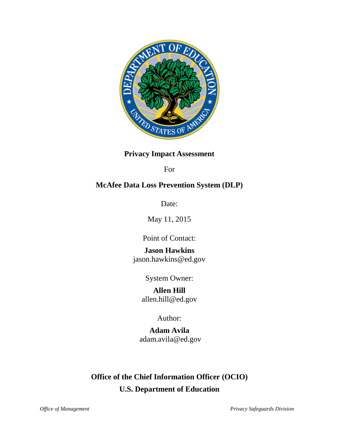

# **Privacy Impact Assessment**

For

# **McAfee Data Loss Prevention System (DLP)**

Date:

May 11, 2015

Point of Contact:

**Jason Hawkins** jason.hawkins@ed.gov

System Owner:

**Allen Hill** allen.hill@ed.gov

Author:

**Adam Avila** adam.avila@ed.gov

# **Office of the Chief Information Officer (OCIO) U.S. Department of Education**

*Office of Management Privacy Safeguards Division*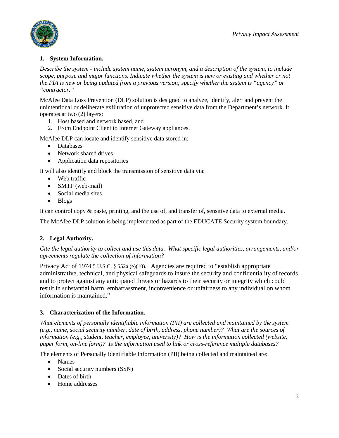

# **1. System Information.**

*Describe the system - include system name, system acronym, and a description of the system, to include scope, purpose and major functions. Indicate whether the system is new or existing and whether or not the PIA is new or being updated from a previous version; specify whether the system is "agency" or "contractor."*

McAfee Data Loss Prevention (DLP) solution is designed to analyze, identify, alert and prevent the unintentional or deliberate exfiltration of unprotected sensitive data from the Department's network. It operates at two (2) layers:

- 1. Host based and network based, and
- 2. From Endpoint Client to Internet Gateway appliances.

McAfee DLP can locate and identify sensitive data stored in:

- Databases
- Network shared drives
- Application data repositories

It will also identify and block the transmission of sensitive data via:

- Web traffic
- SMTP (web-mail)
- Social media sites
- Blogs

It can control copy & paste, printing, and the use of, and transfer of, sensitive data to external media.

The McAfee DLP solution is being implemented as part of the EDUCATE Security system boundary.

# **2. Legal Authority.**

*Cite the legal authority to collect and use this data. What specific legal authorities, arrangements, and/or agreements regulate the collection of information?*

Privacy Act of 1974 5 U.S.C. § 552a (e)(10). Agencies are required to "establish appropriate administrative, technical, and physical safeguards to insure the security and confidentiality of records and to protect against any anticipated threats or hazards to their security or integrity which could result in substantial harm, embarrassment, inconvenience or unfairness to any individual on whom information is maintained."

# **3. Characterization of the Information.**

*What elements of personally identifiable information (PII) are collected and maintained by the system (e.g., name, social security number, date of birth, address, phone number)? What are the sources of information (e.g., student, teacher, employee, university)? How is the information collected (website, paper form, on-line form)? Is the information used to link or cross-reference multiple databases?*

The elements of Personally Identifiable Information (PII) being collected and maintained are:

- Names
- Social security numbers (SSN)
- Dates of birth
- Home addresses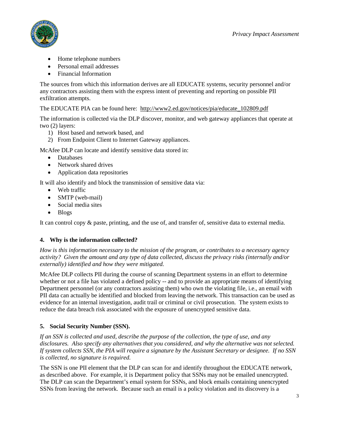

- Home telephone numbers
- Personal email addresses
- Financial Information

The sources from which this information derives are all EDUCATE systems, security personnel and/or any contractors assisting them with the express intent of preventing and reporting on possible PII exfiltration attempts.

The EDUCATE PIA can be found here: [http://www2.ed.gov/notices/pia/educate\\_102809.pdf](http://www2.ed.gov/notices/pia/educate_102809.pdf)

The information is collected via the DLP discover, monitor, and web gateway appliances that operate at two (2) layers:

- 1) Host based and network based, and
- 2) From Endpoint Client to Internet Gateway appliances.

McAfee DLP can locate and identify sensitive data stored in:

- Databases
- Network shared drives
- Application data repositories

It will also identify and block the transmission of sensitive data via:

- Web traffic
- SMTP (web-mail)
- Social media sites
- Blogs

It can control copy & paste, printing, and the use of, and transfer of, sensitive data to external media.

# **4. Why is the information collected?**

*How is this information necessary to the mission of the program, or contributes to a necessary agency activity? Given the amount and any type of data collected, discuss the privacy risks (internally and/or externally) identified and how they were mitigated.*

McAfee DLP collects PII during the course of scanning Department systems in an effort to determine whether or not a file has violated a defined policy -- and to provide an appropriate means of identifying Department personnel (or any contractors assisting them) who own the violating file, i.e., an email with PII data can actually be identified and blocked from leaving the network. This transaction can be used as evidence for an internal investigation, audit trail or criminal or civil prosecution. The system exists to reduce the data breach risk associated with the exposure of unencrypted sensitive data.

# **5. Social Security Number (SSN).**

*If an SSN is collected and used, describe the purpose of the collection, the type of use, and any disclosures. Also specify any alternatives that you considered, and why the alternative was not selected. If system collects SSN, the PIA will require a signature by the Assistant Secretary or designee. If no SSN is collected, no signature is required.*

The SSN is one PII element that the DLP can scan for and identify throughout the EDUCATE network, as described above. For example, it is Department policy that SSNs may not be emailed unencrypted. The DLP can scan the Department's email system for SSNs, and block emails containing unencrypted SSNs from leaving the network. Because such an email is a policy violation and its discovery is a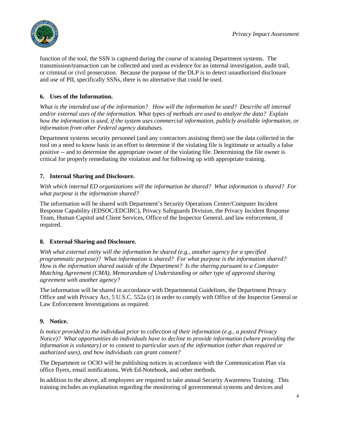

function of the tool, the SSN is captured during the course of scanning Department systems. The transmission/transaction can be collected and used as evidence for an internal investigation, audit trail, or criminal or civil prosecution. Because the purpose of the DLP is to detect unauthorized disclosure and use of PII, specifically SSNs, there is no alternative that could be used.

# **6. Uses of the Information.**

*What is the intended use of the information? How will the information be used? Describe all internal and/or external uses of the information. What types of methods are used to analyze the data? Explain how the information is used, if the system uses commercial information, publicly available information, or information from other Federal agency databases.*

Department systems security personnel (and any contractors assisting them) use the data collected in the tool on a need to know basis in an effort to determine if the violating file is legitimate or actually a false positive -- and to determine the appropriate owner of the violating file. Determining the file owner is critical for properly remediating the violation and for following up with appropriate training.

# **7. Internal Sharing and Disclosure.**

*With which internal ED organizations will the information be shared? What information is shared? For what purpose is the information shared?*

The information will be shared with Department's Security Operations Center/Computer Incident Response Capability (EDSOC/EDCIRC), Privacy Safeguards Division, the Privacy Incident Response Team, Human Capitol and Client Services, Office of the Inspector General, and law enforcement, if required.

# **8. External Sharing and Disclosure.**

*With what external entity will the information be shared (e.g., another agency for a specified programmatic purpose)? What information is shared? For what purpose is the information shared? How is the information shared outside of the Department? Is the sharing pursuant to a Computer Matching Agreement (CMA), Memorandum of Understanding or other type of approved sharing agreement with another agency?*

The information will be shared in accordance with Departmental Guidelines, the Department Privacy Office and with Privacy Act, 5 U.S.C. 552a (c) in order to comply with Office of the Inspector General or Law Enforcement Investigations as required.

# **9. Notice.**

*Is notice provided to the individual prior to collection of their information (e.g., a posted Privacy Notice)? What opportunities do individuals have to decline to provide information (where providing the information is voluntary) or to consent to particular uses of the information (other than required or authorized uses), and how individuals can grant consent?* 

The Department or OCIO will be publishing notices in accordance with the Communication Plan via office flyers, email notifications, Web Ed-Notebook, and other methods.

In addition to the above, all employees are required to take annual Security Awareness Training. This training includes an explanation regarding the monitoring of governmental systems and devices and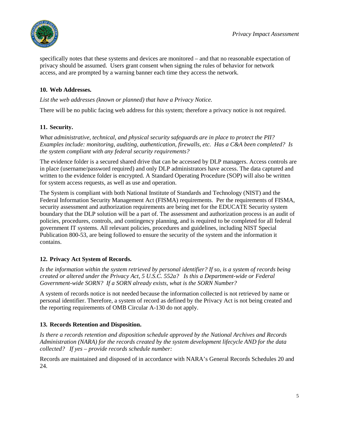

specifically notes that these systems and devices are monitored – and that no reasonable expectation of privacy should be assumed. Users grant consent when signing the rules of behavior for network access, and are prompted by a warning banner each time they access the network.

# **10. Web Addresses.**

*List the web addresses (known or planned) that have a Privacy Notice.*

There will be no public facing web address for this system; therefore a privacy notice is not required.

# **11. Security.**

*What administrative, technical, and physical security safeguards are in place to protect the PII? Examples include: monitoring, auditing, authentication, firewalls, etc. Has a C&A been completed? Is the system compliant with any federal security requirements?* 

The evidence folder is a secured shared drive that can be accessed by DLP managers. Access controls are in place (username/password required) and only DLP administrators have access. The data captured and written to the evidence folder is encrypted. A Standard Operating Procedure (SOP) will also be written for system access requests, as well as use and operation.

The System is compliant with both National Institute of Standards and Technology (NIST) and the Federal Information Security Management Act (FISMA) requirements. Per the requirements of FISMA, security assessment and authorization requirements are being met for the EDUCATE Security system boundary that the DLP solution will be a part of. The assessment and authorization process is an audit of policies, procedures, controls, and contingency planning, and is required to be completed for all federal government IT systems. All relevant policies, procedures and guidelines, including NIST Special Publication 800-53, are being followed to ensure the security of the system and the information it contains.

# **12. Privacy Act System of Records.**

*Is the information within the system retrieved by personal identifier? If so, is a system of records being created or altered under the Privacy Act, 5 U.S.C. 552a? Is this a Department-wide or Federal Government-wide SORN? If a SORN already exists, what is the SORN Number?* 

A system of records notice is not needed because the information collected is not retrieved by name or personal identifier. Therefore, a system of record as defined by the Privacy Act is not being created and the reporting requirements of OMB Circular A-130 do not apply.

# **13. Records Retention and Disposition.**

*Is there a records retention and disposition schedule approved by the National Archives and Records Administration (NARA) for the records created by the system development lifecycle AND for the data collected? If yes – provide records schedule number:*

Records are maintained and disposed of in accordance with NARA's General Records Schedules 20 and 24.